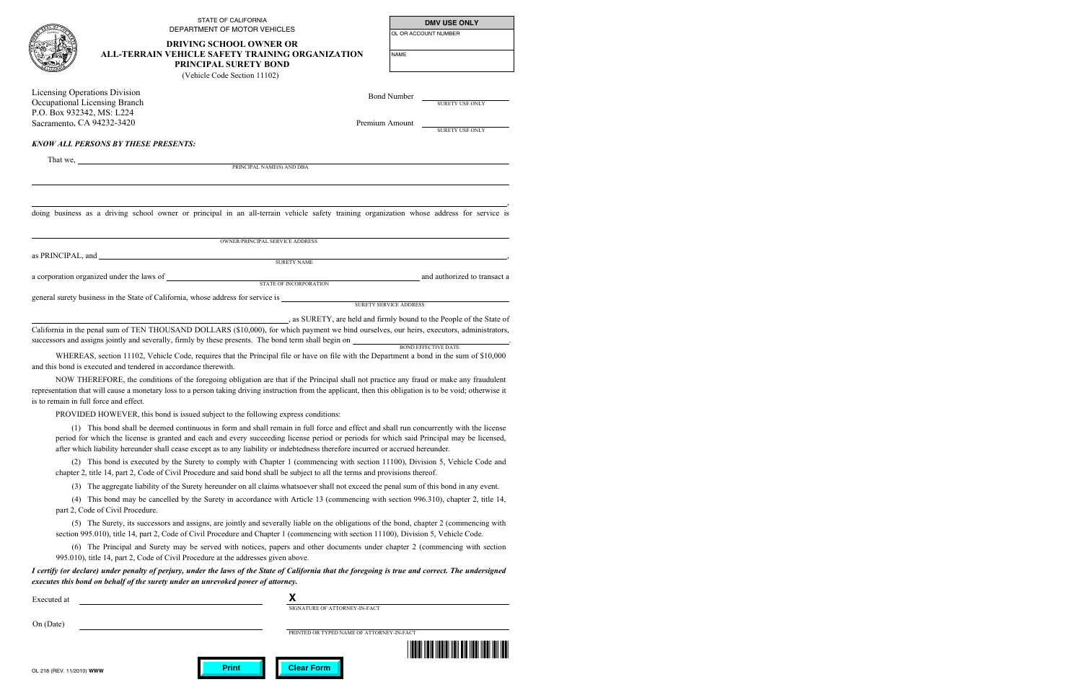|                                                            | <b>STATE OF CALIFORNIA</b><br>DEPARTMENT OF MOTOR VEHICLES                                                                                                                                                                                                                                                                                                                                                             |                        | <b>DMV USE ONLY</b><br>OL OR ACCOUNT NUMBER |  |
|------------------------------------------------------------|------------------------------------------------------------------------------------------------------------------------------------------------------------------------------------------------------------------------------------------------------------------------------------------------------------------------------------------------------------------------------------------------------------------------|------------------------|---------------------------------------------|--|
|                                                            | <b>DRIVING SCHOOL OWNER OR</b><br>ALL-TERRAIN VEHICLE SAFETY TRAINING ORGANIZATION<br>PRINCIPAL SURETY BOND                                                                                                                                                                                                                                                                                                            |                        |                                             |  |
|                                                            |                                                                                                                                                                                                                                                                                                                                                                                                                        |                        | <b>NAME</b>                                 |  |
|                                                            | (Vehicle Code Section 11102)                                                                                                                                                                                                                                                                                                                                                                                           |                        |                                             |  |
| Licensing Operations Division                              |                                                                                                                                                                                                                                                                                                                                                                                                                        | <b>Bond Number</b>     |                                             |  |
| Occupational Licensing Branch<br>P.O. Box 932342, MS: L224 |                                                                                                                                                                                                                                                                                                                                                                                                                        | SURETY USE ONLY        |                                             |  |
| Sacramento, CA 94232-3420                                  |                                                                                                                                                                                                                                                                                                                                                                                                                        |                        | Premium Amount                              |  |
|                                                            |                                                                                                                                                                                                                                                                                                                                                                                                                        |                        | SURETY USE ONLY                             |  |
|                                                            | <b>KNOW ALL PERSONS BY THESE PRESENTS:</b>                                                                                                                                                                                                                                                                                                                                                                             |                        |                                             |  |
|                                                            | PRINCIPAL NAME(S) AND DBA                                                                                                                                                                                                                                                                                                                                                                                              |                        |                                             |  |
|                                                            |                                                                                                                                                                                                                                                                                                                                                                                                                        |                        |                                             |  |
|                                                            |                                                                                                                                                                                                                                                                                                                                                                                                                        |                        |                                             |  |
|                                                            | OWNER/PRINCIPAL SERVICE ADDRESS                                                                                                                                                                                                                                                                                                                                                                                        |                        |                                             |  |
|                                                            | <b>SURETY NAME</b>                                                                                                                                                                                                                                                                                                                                                                                                     |                        |                                             |  |
|                                                            | STATE OF INCORPORATION                                                                                                                                                                                                                                                                                                                                                                                                 |                        | and authorized to transact a                |  |
|                                                            |                                                                                                                                                                                                                                                                                                                                                                                                                        |                        |                                             |  |
|                                                            |                                                                                                                                                                                                                                                                                                                                                                                                                        | SURETY SERVICE ADDRESS |                                             |  |
|                                                            | as SURETY, are held and firmly bound to the People of the State of<br>California in the penal sum of TEN THOUSAND DOLLARS (\$10,000), for which payment we bind ourselves, our heirs, executors, administrators,<br>successors and assigns jointly and severally, firmly by these presents. The bond term shall begin on <b>EXECUAL BOND EFFECTIVE DATE</b>                                                            |                        |                                             |  |
|                                                            | WHEREAS, section 11102, Vehicle Code, requires that the Principal file or have on file with the Department a bond in the sum of \$10,000<br>and this bond is executed and tendered in accordance therewith.                                                                                                                                                                                                            |                        |                                             |  |
| is to remain in full force and effect.                     | NOW THEREFORE, the conditions of the foregoing obligation are that if the Principal shall not practice any fraud or make any fraudulent<br>representation that will cause a monetary loss to a person taking driving instruction from the applicant, then this obligation is to be void; otherwise it                                                                                                                  |                        |                                             |  |
|                                                            | PROVIDED HOWEVER, this bond is issued subject to the following express conditions:                                                                                                                                                                                                                                                                                                                                     |                        |                                             |  |
|                                                            | (1) This bond shall be deemed continuous in form and shall remain in full force and effect and shall run concurrently with the license<br>period for which the license is granted and each and every succeeding license period or periods for which said Principal may be licensed,<br>after which liability hereunder shall cease except as to any liability or indebtedness therefore incurred or accrued hereunder. |                        |                                             |  |

(2) This bond is executed by the Surety to comply with Chapter 1 (commencing with section 11100), Division 5, Vehicle Code and chapter 2, title 14, part 2, Code of Civil Procedure and said bond shall be subject to all the terms and provisions thereof.

(3) The aggregate liability of the Surety hereunder on all claims whatsoever shall not exceed the penal sum of this bond in any event.

(4) This bond may be cancelled by the Surety in accordance with Article 13 (commencing with section 996.310), chapter 2, title 14, part 2, Code of Civil Procedure.

(5) The Surety, its successors and assigns, are jointly and severally liable on the obligations of the bond, chapter 2 (commencing with section 995.010), title 14, part 2, Code of Civil Procedure and Chapter 1 (commencing with section 11100), Division 5, Vehicle Code.

(6) The Principal and Surety may be served with notices, papers and other documents under chapter 2 (commencing with section 995.010), title 14, part 2, Code of Civil Procedure at the addresses given above.

*I certify (or declare) under penalty of perjury, under the laws of the State of California that the foregoing is true and correct. The undersigned executes this bond on behalf of the surety under an unrevoked power of attorney.* 

| Executed at              | n                                         |
|--------------------------|-------------------------------------------|
|                          | SIGNATURE OF ATTORNEY-IN-FACT             |
| On (Date)                |                                           |
|                          | PRINTED OR TYPED NAME OF ATTORNEY-IN-FACT |
|                          |                                           |
| OL 218 (REV 11/2010) WWW | <b>Clear Form</b><br><b>Print</b>         |